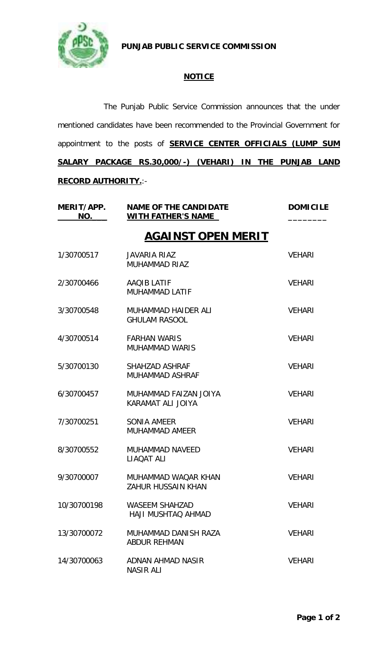

**PUNJAB PUBLIC SERVICE COMMISSION**

## **NOTICE**

The Punjab Public Service Commission announces that the under mentioned candidates have been recommended to the Provincial Government for appointment to the posts of **SERVICE CENTER OFFICIALS (LUMP SUM SALARY PACKAGE RS.30,000/-) (VEHARI) IN THE PUNJAB LAND RECORD AUTHORITY.**:-

| MERIT/APP.<br>NO.         | <b>NAME OF THE CANDIDATE</b><br>WITH FATHER'S NAME | <b>DOMICILE</b> |  |  |
|---------------------------|----------------------------------------------------|-----------------|--|--|
| <u>AGAINST OPEN MERIT</u> |                                                    |                 |  |  |
| 1/30700517                | <b>JAVARIA RIAZ</b><br><b>MUHAMMAD RIAZ</b>        | <b>VEHARI</b>   |  |  |
| 2/30700466                | AAQIB LATIF<br><b>MUHAMMAD LATIF</b>               | <b>VEHARI</b>   |  |  |
| 3/30700548                | MUHAMMAD HAIDER ALI<br><b>GHULAM RASOOL</b>        | <b>VEHARI</b>   |  |  |
| 4/30700514                | <b>FARHAN WARIS</b><br><b>MUHAMMAD WARIS</b>       | <b>VEHARI</b>   |  |  |
| 5/30700130                | SHAHZAD ASHRAF<br><b>MUHAMMAD ASHRAF</b>           | <b>VEHARI</b>   |  |  |
| 6/30700457                | MUHAMMAD FAIZAN JOIYA<br>KARAMAT ALI JOIYA         | <b>VEHARI</b>   |  |  |
| 7/30700251                | SONIA AMEER<br><b>MUHAMMAD AMEER</b>               | <b>VEHARI</b>   |  |  |
| 8/30700552                | <b>MUHAMMAD NAVEED</b><br>LIAQAT ALI               | <b>VEHARI</b>   |  |  |
| 9/30700007                | MUHAMMAD WAQAR KHAN<br>ZAHUR HUSSAIN KHAN          | <b>VEHARI</b>   |  |  |
| 10/30700198               | <b>WASEEM SHAHZAD</b><br>HAJI MUSHTAO AHMAD        | <b>VEHARI</b>   |  |  |
| 13/30700072               | MUHAMMAD DANISH RAZA<br><b>ABDUR REHMAN</b>        | <b>VEHARI</b>   |  |  |
| 14/30700063               | ADNAN AHMAD NASIR<br><b>NASIR ALI</b>              | <b>VEHARI</b>   |  |  |